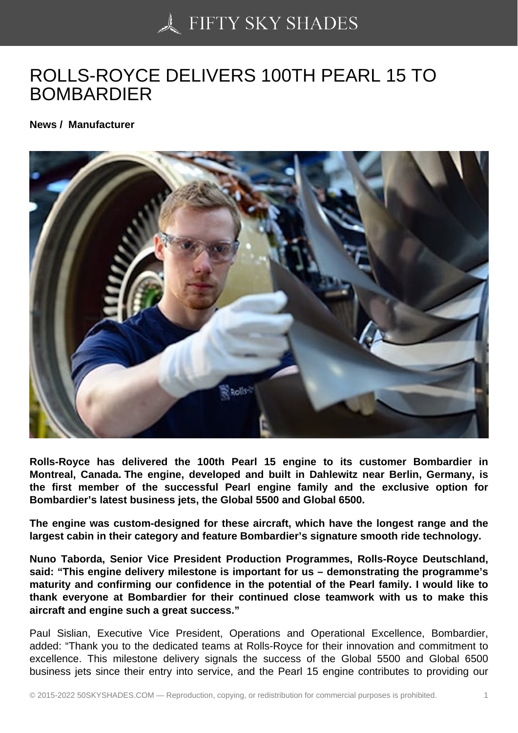## [ROLLS-ROYCE DELIV](https://50skyshades.com)ERS 100TH PEARL 15 TO BOMBARDIER

News / Manufacturer

Rolls-Royce has delivered the 100th Pearl 15 engine to its customer Bombardier in Montreal, Canada. The engine, developed and built in Dahlewitz near Berlin, Germany, is the first member of the successful Pearl engine family and the exclusive option for Bombardier's latest business jets, the Global 5500 and Global 6500.

The engine was custom-designed for these aircraft, which have the longest range and the largest cabin in their category and feature Bombardier's signature smooth ride technology.

Nuno Taborda, Senior Vice President Production Programmes, Rolls-Royce Deutschland, said: "This engine delivery milestone is important for us – demonstrating the programme's maturity and confirming our confidence in the potential of the Pearl family. I would like to thank everyone at Bombardier for their continued close teamwork with us to make this aircraft and engine such a great success."

Paul Sislian, Executive Vice President, Operations and Operational Excellence, Bombardier, added: "Thank you to the dedicated teams at Rolls-Royce for their innovation and commitment to excellence. This milestone delivery signals the success of the Global 5500 and Global 6500 business jets since their entry into service, and the Pearl 15 engine contributes to providing our